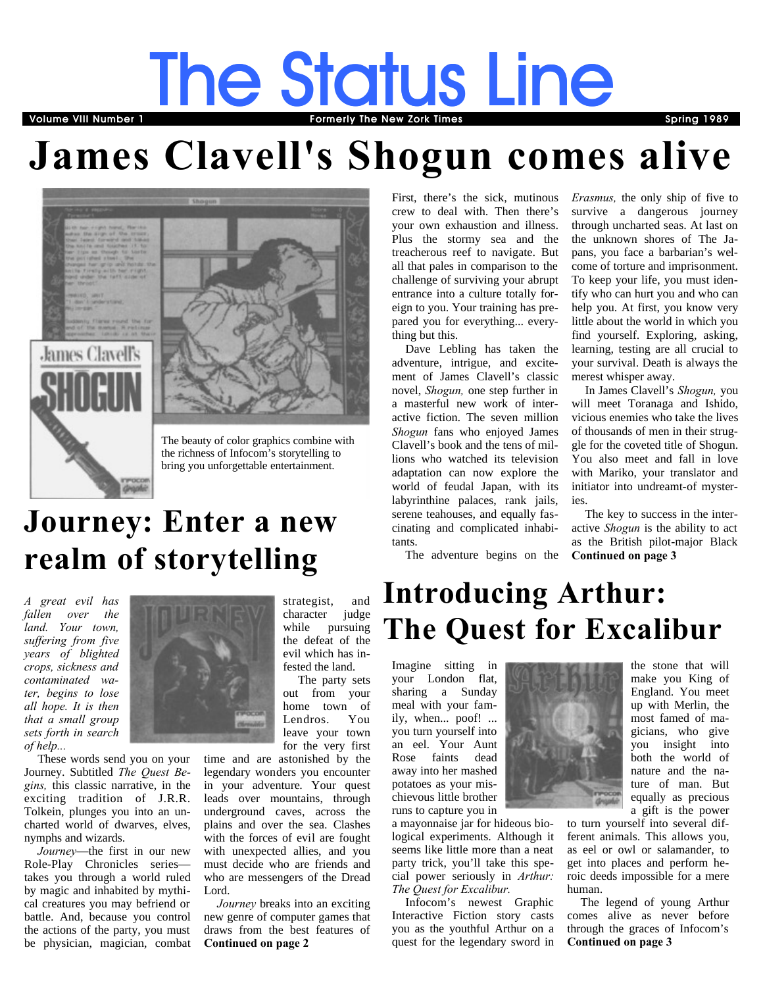# **The Status Line The VIII Number 1 The Spring 1989** Townston Commercial Terms Spring 1989 Spring 1989

# **James Clavell's Shogun comes alive**



The beauty of color graphics combine with the richness of Infocom's storytelling to bring you unforgettable entertainment.

## **Journey: Enter a new realm of storytelling**

*A great evil has fallen over the land. Your town, suffering from five years of blighted crops, sickness and contaminated water, begins to lose all hope. It is then that a small group sets forth in search of help...*

These words send you on your Journey. Subtitled *The Quest Begins,* this classic narrative, in the exciting tradition of J.R.R. Tolkein, plunges you into an uncharted world of dwarves, elves, nymphs and wizards.

*Journey*—the first in our new Role-Play Chronicles series takes you through a world ruled by magic and inhabited by mythical creatures you may befriend or battle. And, because you control the actions of the party, you must be physician, magician, combat



strategist, and character judge while pursuing the defeat of the evil which has infested the land.

 The party sets out from your home town of Lendros. You leave your town for the very first

<span id="page-0-0"></span>time and are astonished by the legendary wonders you encounter in your adventure. Your quest leads over mountains, through underground caves, across the plains and over the sea. Clashes with the forces of evil are fought with unexpected allies, and you must decide who are friends and who are messengers of the Dread Lord.

*Journey* breaks into an exciting new genre of computer games that draws from the best features of **[Continued on page 2](#page-1-0)**

First, there's the sick, mutinous crew to deal with. Then there's your own exhaustion and illness. Plus the stormy sea and the treacherous reef to navigate. But all that pales in comparison to the challenge of surviving your abrupt entrance into a culture totally foreign to you. Your training has prepared you for everything... everything but this.

Dave Lebling has taken the adventure, intrigue, and excitement of James Clavell's classic novel, *Shogun,* one step further in a masterful new work of interactive fiction. The seven million *Shogun* fans who enjoyed James Clavell's book and the tens of millions who watched its television adaptation can now explore the world of feudal Japan, with its labyrinthine palaces, rank jails, serene teahouses, and equally fascinating and complicated inhabitants.

The adventure begins on the

*Erasmus,* the only ship of five to survive a dangerous journey through uncharted seas. At last on the unknown shores of The Japans, you face a barbarian's welcome of torture and imprisonment. To keep your life, you must identify who can hurt you and who can help you. At first, you know very little about the world in which you find yourself. Exploring, asking, learning, testing are all crucial to your survival. Death is always the merest whisper away.

<span id="page-0-1"></span>In James Clavell's *Shogun,* you will meet Toranaga and Ishido, vicious enemies who take the lives of thousands of men in their struggle for the coveted title of Shogun. You also meet and fall in love with Mariko, your translator and initiator into undreamt-of mysteries.

The key to success in the interactive *Shogun* is the ability to act as the British pilot-major Black **[Continued on page 3](#page-2-1)**

## **Introducing Arthur: The Quest for Excalibur**

Imagine sitting in your London flat, sharing a Sunday meal with your family, when... poof! ... you turn yourself into an eel. Your Aunt Rose faints dead away into her mashed potatoes as your mischievous little brother runs to capture you in



Infocom's newest Graphic Interactive Fiction story casts you as the youthful Arthur on a quest for the legendary sword in



<span id="page-0-2"></span>to turn yourself into several different animals. This allows you, as eel or owl or salamander, to get into places and perform heroic deeds impossible for a mere human.

The legend of young Arthur comes alive as never before through the graces of Infocom's **[Continued on page 3](#page-2-0)**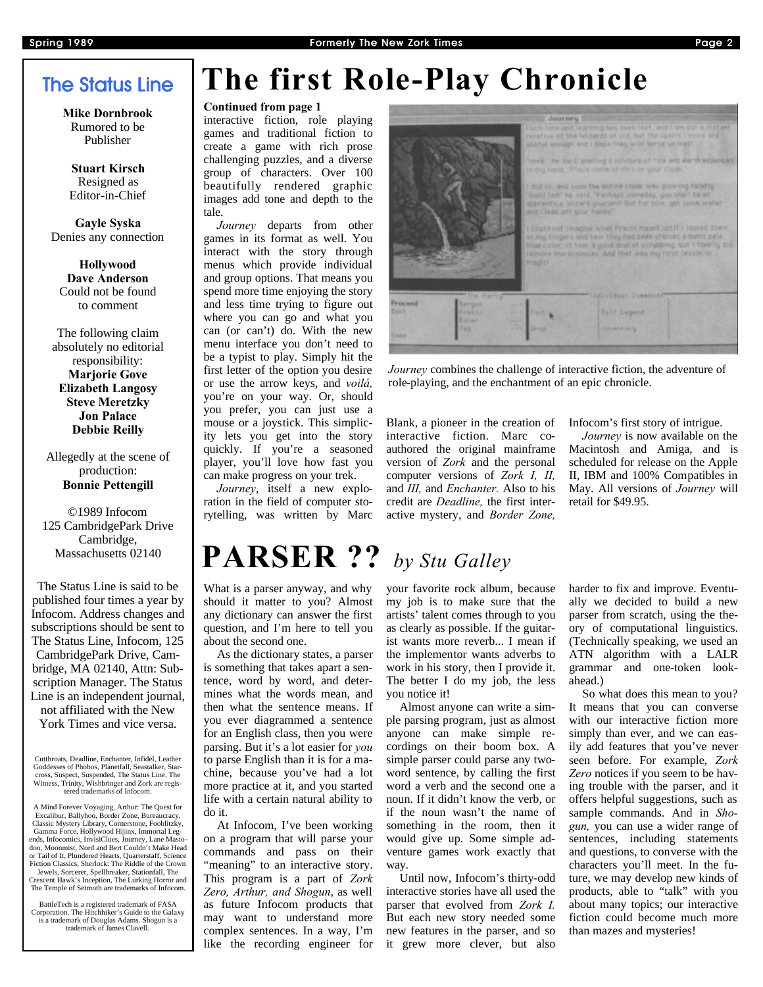## **The Status Line**

**Mike Dornbrook** Rumored to be Publisher

**Stuart Kirsch** Resigned as Editor-in-Chief

**Gayle Syska** Denies any connection

**Hollywood Dave Anderson** Could not be found to comment

The following claim absolutely no editorial responsibility: **Marjorie Gove Elizabeth Langosy Steve Meretzky Jon Palace Debbie Reilly**

Allegedly at the scene of production: **Bonnie Pettengill**

©1989 Infocom 125 CambridgePark Drive Cambridge, Massachusetts 02140

The Status Line is said to be published four times a year by Infocom. Address changes and subscriptions should be sent to The Status Line, Infocom, 125 CambridgePark Drive, Cambridge, MA 02140, Attn: Subscription Manager. The Status Line is an independent journal, not affiliated with the New York Times and vice versa.

Cutthroats, Deadline, Enchanter, Infidel, Leather Goddesses of Phobos, Planetfall, Seastalker, Starcross, Suspect, Suspended, The Status Line, The Witness, Trinity, Wishbringer and Zork are registered trademarks of Infocom.

A Mind Forever Voyaging, Arthur: The Quest for Excalibur, Ballyhoo, Border Zone, Bureaucracy, Classic Mystery Library, Comerstone, Fooblitzky, Gamma Force, Hollywood Hijinx, Immortal Legends, Infocomics, InvisiClues, Journ don, Moonmist, Nord and Bert Couldn't Make Head or Tail of It, Plundered Hearts, Quarterstaff, Science Fiction Classics, Sherlock: The Riddle of the Crown Jewels, Sorcerer, Spellbreaker, Stationfall, The Crescent Hawk's Inception, The Lurking Horror and The Temple of Setmoth are trademarks of Infocom.

BattleTech is a registered trademark of FASA Corporation. The Hitchhiker's Guide to the Galaxy is a trademark of Douglas Adams. Shogun is a trademark of James Clavell.

## <span id="page-1-0"></span>**The first Role-Play Chronicle**

## **[Continued from page 1](#page-0-0)**

interactive fiction, role playing games and traditional fiction to create a game with rich prose challenging puzzles, and a diverse group of characters. Over 100 beautifully rendered graphic images add tone and depth to the tale.

*Journey* departs from other games in its format as well. You interact with the story through menus which provide individual and group options. That means you spend more time enjoying the story and less time trying to figure out where you can go and what you can (or can't) do. With the new menu interface you don't need to be a typist to play. Simply hit the first letter of the option you desire or use the arrow keys, and *voilá,*  you're on your way. Or, should you prefer, you can just use a mouse or a joystick. This simplicity lets you get into the story quickly. If you're a seasoned player, you'll love how fast you can make progress on your trek.

*Journey*, itself a new exploration in the field of computer storytelling, was written by Marc

## **PARSER ??** *by Stu Galley*

What is a parser anyway, and why should it matter to you? Almost any dictionary can answer the first question, and I'm here to tell you about the second one.

As the dictionary states, a parser is something that takes apart a sentence, word by word, and determines what the words mean, and then what the sentence means. If you ever diagrammed a sentence for an English class, then you were parsing. But it's a lot easier for *you*  to parse English than it is for a machine, because you've had a lot more practice at it, and you started life with a certain natural ability to do it.

At Infocom, I've been working on a program that will parse your commands and pass on their "meaning" to an interactive story. This program is a part of *Zork Zero, Arthur, and Shogun*, as well as future Infocom products that may want to understand more complex sentences. In a way, I'm like the recording engineer for



*Journey* combines the challenge of interactive fiction, the adventure of role-playing, and the enchantment of an epic chronicle.

Blank, a pioneer in the creation of interactive fiction. Marc coauthored the original mainframe version of *Zork* and the personal computer versions of *Zork I, II,* and *III,* and *Enchanter.* Also to his credit are *Deadline,* the first interactive mystery, and *Border Zone,*

Infocom's first story of intrigue.

*Journey* is now available on the Macintosh and Amiga, and is scheduled for release on the Apple II, IBM and 100% Compatibles in May. All versions of *Journey* will retail for \$49.95.

your favorite rock album, because my job is to make sure that the artists' talent comes through to you as clearly as possible. If the guitarist wants more reverb... I mean if the implementor wants adverbs to work in his story, then I provide it. The better I do my job, the less you notice it!

Almost anyone can write a simple parsing program, just as almost anyone can make simple recordings on their boom box. A simple parser could parse any twoword sentence, by calling the first word a verb and the second one a noun. If it didn't know the verb, or if the noun wasn't the name of something in the room, then it would give up. Some simple adventure games work exactly that way.

Until now, Infocom's thirty-odd interactive stories have all used the parser that evolved from *Zork I.* But each new story needed some new features in the parser, and so it grew more clever, but also

harder to fix and improve. Eventually we decided to build a new parser from scratch, using the theory of computational linguistics. (Technically speaking, we used an ATN algorithm with a LALR grammar and one-token lookahead.)

So what does this mean to you? It means that you can converse with our interactive fiction more simply than ever, and we can easily add features that you've never seen before. For example, *Zork Zero* notices if you seem to be having trouble with the parser, and it offers helpful suggestions, such as sample commands. And in *Shogun,* you can use a wider range of sentences, including statements and questions, to converse with the characters you'll meet. In the future, we may develop new kinds of products, able to "talk" with you about many topics; our interactive fiction could become much more than mazes and mysteries!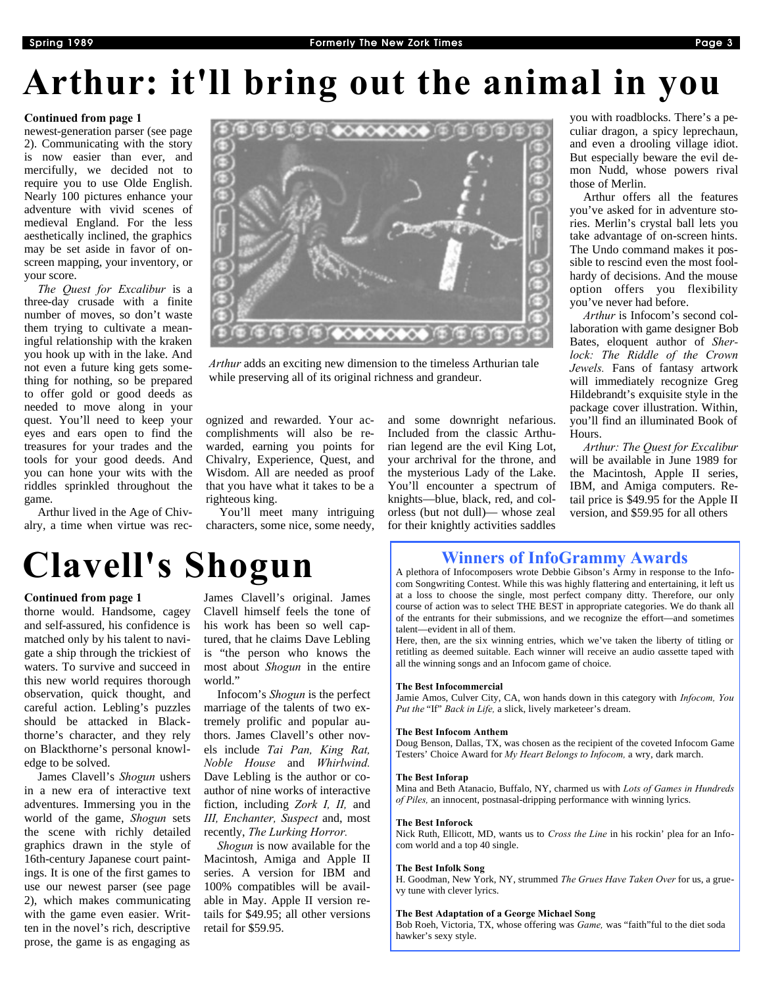# <span id="page-2-0"></span>**Arthur: it'll bring out the animal in you**

## **[Continued from page 1](#page-0-2)**

newest-generation parser (see page 2). Communicating with the story is now easier than ever, and mercifully, we decided not to require you to use Olde English. Nearly 100 pictures enhance your adventure with vivid scenes of medieval England. For the less aesthetically inclined, the graphics may be set aside in favor of onscreen mapping, your inventory, or your score.

*The Quest for Excalibur* is a three-day crusade with a finite number of moves, so don't waste them trying to cultivate a meaningful relationship with the kraken you hook up with in the lake. And not even a future king gets something for nothing, so be prepared to offer gold or good deeds as needed to move along in your quest. You'll need to keep your eyes and ears open to find the treasures for your trades and the tools for your good deeds. And you can hone your wits with the riddles sprinkled throughout the game.

Arthur lived in the Age of Chivalry, a time when virtue was rec-



*Arthur* adds an exciting new dimension to the timeless Arthurian tale while preserving all of its original richness and grandeur.

ognized and rewarded. Your accomplishments will also be rewarded, earning you points for Chivalry, Experience, Quest, and Wisdom. All are needed as proof that you have what it takes to be a righteous king.

You'll meet many intriguing characters, some nice, some needy, and some downright nefarious. Included from the classic Arthurian legend are the evil King Lot, your archrival for the throne, and the mysterious Lady of the Lake. You'll encounter a spectrum of knights—blue, black, red, and colorless (but not dull)— whose zeal for their knightly activities saddles you with roadblocks. There's a peculiar dragon, a spicy leprechaun, and even a drooling village idiot. But especially beware the evil demon Nudd, whose powers rival those of Merlin.

Arthur offers all the features you've asked for in adventure stories. Merlin's crystal ball lets you take advantage of on-screen hints. The Undo command makes it possible to rescind even the most foolhardy of decisions. And the mouse option offers you flexibility you've never had before.

*Arthur* is Infocom's second collaboration with game designer Bob Bates, eloquent author of *Sherlock: The Riddle of the Crown Jewels.* Fans of fantasy artwork will immediately recognize Greg Hildebrandt's exquisite style in the package cover illustration. Within, you'll find an illuminated Book of Hours.

*Arthur: The Quest for Excalibur* will be available in June 1989 for the Macintosh, Apple II series, IBM, and Amiga computers. Retail price is \$49.95 for the Apple II version, and \$59.95 for all others

## **Winners of InfoGrammy Awards**

A plethora of Infocomposers wrote Debbie Gibson's Army in response to the Infocom Songwriting Contest. While this was highly flattering and entertaining, it left us at a loss to choose the single, most perfect company ditty. Therefore, our only course of action was to select THE BEST in appropriate categories. We do thank all of the entrants for their submissions, and we recognize the effort—and sometimes talent—evident in all of them.

Here, then, are the six winning entries, which we've taken the liberty of titling or retitling as deemed suitable. Each winner will receive an audio cassette taped with all the winning songs and an Infocom game of choice.

### **The Best Infocommercial**

Jamie Amos, Culver City, CA, won hands down in this category with *Infocom, You Put the* "If" *Back in Life,* a slick, lively marketeer's dream.

### **The Best Infocom Anthem**

Doug Benson, Dallas, TX, was chosen as the recipient of the coveted Infocom Game Testers' Choice Award for *My Heart Belongs to Infocom,* a wry, dark march.

### **The Best Inforap**

Mina and Beth Atanacio, Buffalo, NY, charmed us with *Lots of Games in Hundreds of Piles,* an innocent, postnasal-dripping performance with winning lyrics.

### **The Best Inforock**

Nick Ruth, Ellicott, MD, wants us to *Cross the Line* in his rockin' plea for an Infocom world and a top 40 single.

### **The Best Infolk Song**

H. Goodman, New York, NY, strummed *The Grues Have Taken Over* for us, a gruevy tune with clever lyrics.

### **The Best Adaptation of a George Michael Song**

Bob Roeh, Victoria, TX, whose offering was *Game,* was "faith"ful to the diet soda hawker's sexy style.

# <span id="page-2-1"></span>**Clavell's Shogun**

### **[Continued from page 1](#page-0-1)**

thorne would. Handsome, cagey and self-assured, his confidence is matched only by his talent to navigate a ship through the trickiest of waters. To survive and succeed in this new world requires thorough observation, quick thought, and careful action. Lebling's puzzles should be attacked in Blackthorne's character, and they rely on Blackthorne's personal knowledge to be solved.

James Clavell's *Shogun* ushers in a new era of interactive text adventures. Immersing you in the world of the game, *Shogun* sets the scene with richly detailed graphics drawn in the style of 16th-century Japanese court paintings. It is one of the first games to use our newest parser (see page 2), which makes communicating with the game even easier. Written in the novel's rich, descriptive prose, the game is as engaging as

James Clavell's original. James Clavell himself feels the tone of his work has been so well captured, that he claims Dave Lebling is "the person who knows the most about *Shogun* in the entire world."

Infocom's *Shogun* is the perfect marriage of the talents of two extremely prolific and popular authors. James Clavell's other novels include *Tai Pan, King Rat, Noble House* and *Whirlwind.*  Dave Lebling is the author or coauthor of nine works of interactive fiction, including *Zork I, II,* and *III, Enchanter, Suspect* and, most recently, *The Lurking Horror.*

*Shogun* is now available for the Macintosh, Amiga and Apple II series. A version for IBM and 100% compatibles will be available in May. Apple II version retails for \$49.95; all other versions retail for \$59.95.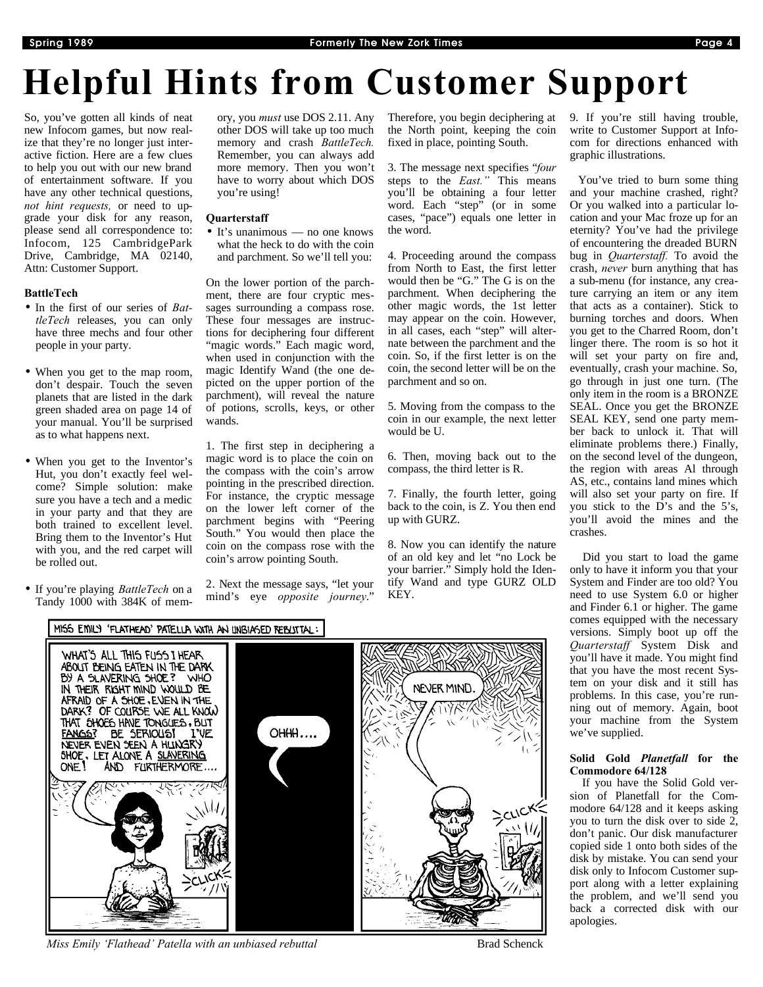# **Helpful Hints from Customer Support**

So, you've gotten all kinds of neat new Infocom games, but now realize that they're no longer just interactive fiction. Here are a few clues to help you out with our new brand of entertainment software. If you have any other technical questions, *not hint requests,* or need to upgrade your disk for any reason, please send all correspondence to: Infocom, 125 CambridgePark Drive, Cambridge, MA 02140, Attn: Customer Support.

## **BattleTech**

- In the first of our series of *BattleTech* releases, you can only have three mechs and four other people in your party.
- When you get to the map room, don't despair. Touch the seven planets that are listed in the dark green shaded area on page 14 of your manual. You'll be surprised as to what happens next.
- When you get to the Inventor's Hut, you don't exactly feel welcome? Simple solution: make sure you have a tech and a medic in your party and that they are both trained to excellent level. Bring them to the Inventor's Hut with you, and the red carpet will be rolled out.
- If you're playing *BattleTech* on a Tandy 1000 with 384K of mem-

ory, you *must* use DOS 2.11. Any other DOS will take up too much memory and crash *BattleTech.*  Remember, you can always add more memory. Then you won't have to worry about which DOS you're using!

## **Quarterstaff**

• It's unanimous — no one knows what the heck to do with the coin and parchment. So we'll tell you:

On the lower portion of the parchment, there are four cryptic messages surrounding a compass rose. These four messages are instructions for deciphering four different "magic words." Each magic word, when used in conjunction with the magic Identify Wand (the one depicted on the upper portion of the parchment), will reveal the nature of potions, scrolls, keys, or other wands.

1. The first step in deciphering a magic word is to place the coin on the compass with the coin's arrow pointing in the prescribed direction. For instance, the cryptic message on the lower left corner of the parchment begins with "Peering South." You would then place the coin on the compass rose with the coin's arrow pointing South.

2. Next the message says, "let your mind's eye *opposite journey*."

Therefore, you begin deciphering at the North point, keeping the coin fixed in place, pointing South.

3. The message next specifies "*four*  steps to the *East."* This means you'll be obtaining a four letter word. Each "step" (or in some cases, "pace") equals one letter in the word.

4. Proceeding around the compass from North to East, the first letter would then be "G." The G is on the parchment. When deciphering the other magic words, the 1st letter may appear on the coin. However, in all cases, each "step" will alternate between the parchment and the coin. So, if the first letter is on the coin, the second letter will be on the parchment and so on.

5. Moving from the compass to the coin in our example, the next letter would be U.

6. Then, moving back out to the compass, the third letter is R.

7. Finally, the fourth letter, going back to the coin, is Z. You then end up with GURZ.

8. Now you can identify the nature of an old key and let "no Lock be your barrier." Simply hold the Identify Wand and type GURZ OLD KEY.

9. If you're still having trouble, write to Customer Support at Infocom for directions enhanced with graphic illustrations.

 You've tried to burn some thing and your machine crashed, right? Or you walked into a particular location and your Mac froze up for an eternity? You've had the privilege of encountering the dreaded BURN bug in *Quarterstaff.* To avoid the crash, *never* burn anything that has a sub-menu (for instance, any creature carrying an item or any item that acts as a container). Stick to burning torches and doors. When you get to the Charred Room, don't linger there. The room is so hot it will set your party on fire and, eventually, crash your machine. So, go through in just one turn. (The only item in the room is a BRONZE SEAL. Once you get the BRONZE SEAL KEY, send one party member back to unlock it. That will eliminate problems there.) Finally, on the second level of the dungeon, the region with areas Al through AS, etc., contains land mines which will also set your party on fire. If you stick to the D's and the 5's, you'll avoid the mines and the crashes.

 Did you start to load the game only to have it inform you that your System and Finder are too old? You need to use System 6.0 or higher and Finder 6.1 or higher. The game comes equipped with the necessary versions. Simply boot up off the *Quarterstaff* System Disk and you'll have it made. You might find that you have the most recent System on your disk and it still has problems. In this case, you're running out of memory. Again, boot your machine from the System we've supplied.

### **Solid Gold** *Planetfall* **for the Commodore 64/128**

 If you have the Solid Gold version of Planetfall for the Commodore 64/128 and it keeps asking you to turn the disk over to side 2, don't panic. Our disk manufacturer copied side 1 onto both sides of the disk by mistake. You can send your disk only to Infocom Customer support along with a letter explaining the problem, and we'll send you back a corrected disk with our apologies.



*Miss Emily 'Flathead' Patella with an unbiased rebuttal* **Brad Schenck Brad Schenck**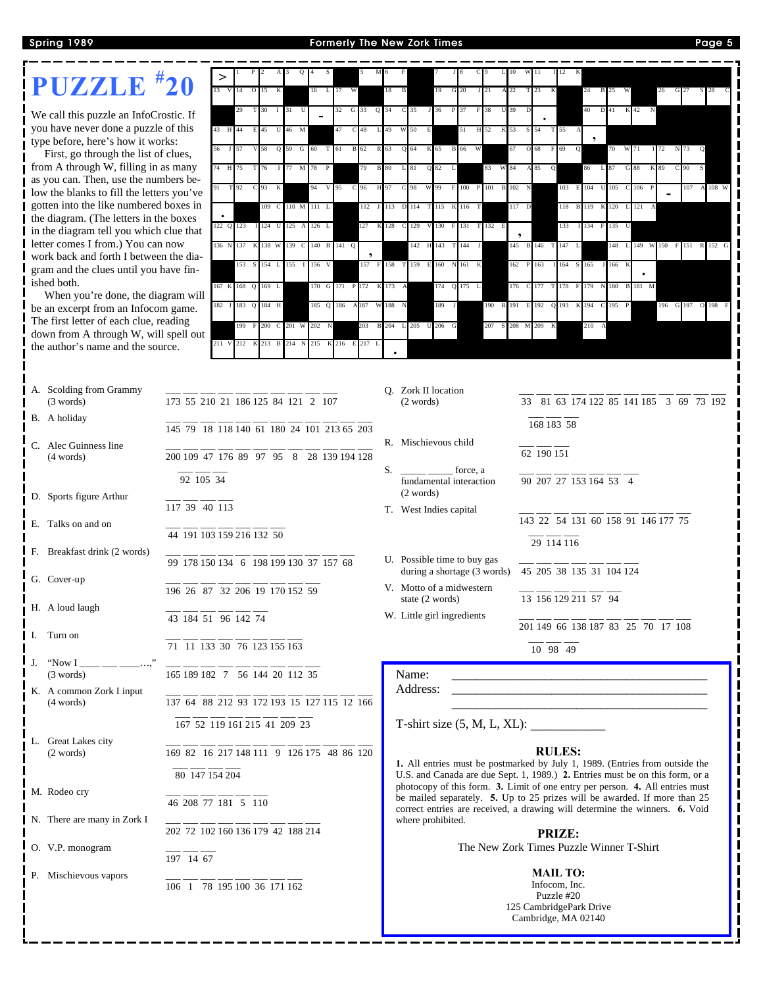## **Spring 1989 Formerly The New Zork Times Page 5**

| PUZZLE <sup>#20</sup>                                                              |                                                     |           |                                          |                      |                   |           |                 |                   |                                          |                                  |       |                                                                                                                                                                |             |          |                                                                                                                        |                 |              |                       |               |     |     |             |
|------------------------------------------------------------------------------------|-----------------------------------------------------|-----------|------------------------------------------|----------------------|-------------------|-----------|-----------------|-------------------|------------------------------------------|----------------------------------|-------|----------------------------------------------------------------------------------------------------------------------------------------------------------------|-------------|----------|------------------------------------------------------------------------------------------------------------------------|-----------------|--------------|-----------------------|---------------|-----|-----|-------------|
|                                                                                    |                                                     |           |                                          |                      |                   |           | 17              |                   |                                          |                                  |       |                                                                                                                                                                |             | 22       |                                                                                                                        |                 |              | 25                    |               | 26  | 27  |             |
| We call this puzzle an InfoCrostic. If                                             |                                                     |           |                                          | 30                   | $1 \overline{31}$ |           | 32              | G 33              | $Q$ 34                                   | C 35                             | 36    | P 37<br>F                                                                                                                                                      | 38          | 39       |                                                                                                                        |                 |              | D 41                  | K 42          |     |     |             |
| you have never done a puzzle of this<br>type before, here's how it works:          |                                                     | 43 H 44   |                                          |                      | E 45 U 46 M       |           | 47              | C <sub>48</sub>   | L 49                                     | W 50<br>E                        |       | 51                                                                                                                                                             | H 52        | K 53     | <sub>S</sub><br>54                                                                                                     | T 55            |              |                       |               |     |     |             |
| First, go through the list of clues,                                               |                                                     |           |                                          | 58                   | Q 59 G 60 T 61    |           |                 | <b>B</b> 62       | R 63                                     | Q 64                             | K 65  | B 66 W                                                                                                                                                         |             | 67       | $\circ$                                                                                                                |                 |              | 70                    | W 71          | 72  | 73  |             |
| from A through W, filling in as many                                               |                                                     | 74 H      | 75                                       | 76                   | 77 M              | 78 P      |                 |                   | <b>B</b> 80                              |                                  | Q 82  | L                                                                                                                                                              | 83 W 84     |          | $\Omega$                                                                                                               |                 |              | L 87                  |               |     | 90  |             |
| as you can. Then, use the numbers be-<br>low the blanks to fill the letters you've |                                                     |           | T 92                                     | C <sub>93</sub><br>K |                   |           | V 95            | 96                |                                          | 98                               | 99    | F<br>100                                                                                                                                                       | 101         | 102      |                                                                                                                        | 103             | 104          | 105                   | 106           |     | 107 | A 108 W     |
| gotten into the like numbered boxes in                                             |                                                     |           |                                          |                      | 109 C 110 M 111 L |           |                 | 112 J 113         |                                          | D 114                            | T 115 | 116                                                                                                                                                            |             | 117 D    |                                                                                                                        | 118             | <b>B</b> 119 | K 120                 | 121           |     |     |             |
| the diagram. (The letters in the boxes                                             |                                                     | 122 Q 123 |                                          |                      | I 124 U 125 A     | 126 L     |                 | 127               | K 128                                    | 129                              | 130 F |                                                                                                                                                                | 131 T 132 E |          |                                                                                                                        | 133             |              | 134 F 135 U           |               |     |     |             |
| in the diagram tell you which clue that<br>letter comes I from.) You can now       |                                                     | 136 N 137 |                                          |                      | K 138 W 139 C     |           | 140 B 141 Q     |                   |                                          | 142 H 143                        |       | $144$ J                                                                                                                                                        |             | $\cdot$  | 145 B 146 T                                                                                                            | 147             |              | 148<br>$\overline{L}$ | 149           | 150 |     | 151 R 152 G |
| work back and forth I between the dia-                                             |                                                     |           | 153                                      |                      | 154 L 155 I       | 156 V     |                 | 157               | F 158 T                                  | 159 E 160                        |       | 161 K                                                                                                                                                          |             | 162      | P<br>163                                                                                                               | 164<br>S        | 165          | J 166                 |               |     |     |             |
| gram and the clues until you have fin-<br>ished both.                              |                                                     |           |                                          |                      |                   |           |                 |                   |                                          |                                  |       |                                                                                                                                                                |             |          |                                                                                                                        |                 |              |                       |               |     |     |             |
| When you're done, the diagram will                                                 |                                                     |           | 167 K 168 Q 169 L                        |                      |                   |           | 170 G 171 P 172 |                   | K 173                                    |                                  | 174   | Q 175 L                                                                                                                                                        |             | 176      | C 177                                                                                                                  | 178             | F 179        |                       | N 180 B 181 M |     |     |             |
| be an excerpt from an Infocom game.                                                |                                                     |           | 182 J 183 Q 184 H                        |                      |                   | 185 Q 186 |                 | A187<br>W         | 188                                      |                                  | 189   |                                                                                                                                                                | 190         | R 191    | E 192 Q 193                                                                                                            |                 | K 194        | C 195 P               |               | 196 | 197 | O 198       |
| The first letter of each clue, reading<br>down from A through W, will spell out    |                                                     |           | 199                                      |                      | 200 C 201 W       | 202       |                 | 203               | B 204 L 205 U 206                        |                                  |       | G                                                                                                                                                              | 207         | 208<br>M | 209                                                                                                                    |                 | 210          |                       |               |     |     |             |
| the author's name and the source.                                                  |                                                     | 211 V 212 |                                          |                      | K 213 B 214 N     |           |                 | 215 K 216 E 217 L |                                          |                                  |       |                                                                                                                                                                |             |          |                                                                                                                        |                 |              |                       |               |     |     |             |
|                                                                                    |                                                     |           |                                          |                      |                   |           |                 |                   |                                          |                                  |       |                                                                                                                                                                |             |          |                                                                                                                        |                 |              |                       |               |     |     |             |
|                                                                                    |                                                     |           |                                          |                      |                   |           |                 |                   |                                          |                                  |       |                                                                                                                                                                |             |          |                                                                                                                        |                 |              |                       |               |     |     |             |
| A. Scolding from Grammy<br>(3 words)                                               | 173 55 210 21 186 125 84 121 2 107                  |           |                                          |                      |                   |           |                 |                   |                                          | O. Zork II location<br>(2 words) |       |                                                                                                                                                                |             |          | 33 81 63 174 122 85 141 185 3 69 73 192                                                                                |                 |              |                       |               |     |     |             |
| B. A holiday                                                                       |                                                     |           |                                          |                      |                   |           |                 |                   |                                          |                                  |       |                                                                                                                                                                |             |          |                                                                                                                        |                 |              |                       |               |     |     |             |
|                                                                                    | 145 79 18 118 140 61 180 24 101 213 65 203          |           |                                          |                      |                   |           |                 |                   |                                          |                                  |       |                                                                                                                                                                |             |          | 168 183 58                                                                                                             |                 |              |                       |               |     |     |             |
| C. Alec Guinness line                                                              |                                                     |           |                                          |                      |                   |           |                 |                   |                                          | R. Mischievous child             |       |                                                                                                                                                                |             |          | 62 190 151                                                                                                             |                 |              |                       |               |     |     |             |
| 200 109 47 176 89 97 95 8 28 139 194 128<br>(4 words)                              |                                                     |           | S.<br>force, a<br>90 207 27 153 164 53 4 |                      |                   |           |                 |                   |                                          |                                  |       |                                                                                                                                                                |             |          |                                                                                                                        |                 |              |                       |               |     |     |             |
|                                                                                    | 92 105 34                                           |           |                                          |                      |                   |           |                 |                   |                                          |                                  |       | fundamental interaction                                                                                                                                        |             |          |                                                                                                                        |                 |              |                       |               |     |     |             |
| D. Sports figure Arthur                                                            | $117\overline{39}$ $\overline{40}$ $\overline{113}$ |           |                                          |                      |                   |           |                 |                   |                                          | (2 words)                        |       | T. West Indies capital                                                                                                                                         |             |          |                                                                                                                        |                 |              |                       |               |     |     |             |
| E. Talks on and on                                                                 |                                                     |           |                                          |                      |                   |           |                 |                   |                                          |                                  |       |                                                                                                                                                                |             |          | 143 22 54 131 60 158 91 146 177 75                                                                                     |                 |              |                       |               |     |     |             |
|                                                                                    | 44 191 103 159 216 132 50                           |           |                                          |                      |                   |           |                 |                   |                                          |                                  |       |                                                                                                                                                                |             |          |                                                                                                                        | 29 114 116      |              |                       |               |     |     |             |
| F. Breakfast drink (2 words)                                                       | 99 178 150 134 6 198 199 130 37 157 68              |           |                                          |                      |                   |           |                 |                   |                                          |                                  |       | U. Possible time to buy gas                                                                                                                                    |             |          |                                                                                                                        |                 |              |                       |               |     |     |             |
| G. Cover-up                                                                        |                                                     |           |                                          |                      |                   |           |                 |                   |                                          |                                  |       | during a shortage (3 words)                                                                                                                                    |             |          | 45 205 38 135 31 104 124                                                                                               |                 |              |                       |               |     |     |             |
|                                                                                    | 196 26 87 32 206 19 170 152 59                      |           |                                          |                      |                   |           |                 |                   |                                          |                                  |       | V. Motto of a midwestern                                                                                                                                       |             |          |                                                                                                                        |                 |              |                       |               |     |     |             |
| H. A loud laugh                                                                    |                                                     |           |                                          |                      |                   |           |                 |                   |                                          | state (2 words)                  |       |                                                                                                                                                                |             |          | 13 156 129 211 57 94                                                                                                   |                 |              |                       |               |     |     |             |
|                                                                                    | 43 184 51 96 142 74                                 |           |                                          |                      |                   |           |                 |                   |                                          |                                  |       | W. Little girl ingredients                                                                                                                                     |             |          | 201 149 66 138 187 83 25 70 17 108                                                                                     |                 |              |                       |               |     |     |             |
| I. Turn on                                                                         | 71 11 133 30 76 123 155 163                         |           |                                          |                      |                   |           |                 |                   |                                          |                                  |       |                                                                                                                                                                |             |          | 10 98 49                                                                                                               |                 |              |                       |               |     |     |             |
| "Now I                                                                             |                                                     |           |                                          |                      |                   |           |                 |                   |                                          |                                  |       |                                                                                                                                                                |             |          |                                                                                                                        |                 |              |                       |               |     |     |             |
| (3 words)                                                                          | $\overline{165}$ 189 182 7 56 144 20 112 35         |           |                                          |                      |                   |           |                 |                   |                                          | Name:                            |       |                                                                                                                                                                |             |          |                                                                                                                        |                 |              |                       |               |     |     |             |
| K. A common Zork I input<br>(4 words)                                              | 137 64 88 212 93 172 193 15 127 115 12 166          |           |                                          |                      |                   |           |                 |                   |                                          | Address:                         |       |                                                                                                                                                                |             |          | <u> 1980 - Johann Barn, mars ann an t-Amhain ann an t-Amhain an t-Amhain an t-Amhain an t-Amhain an t-Amhain an t-</u> |                 |              |                       |               |     |     |             |
|                                                                                    |                                                     |           |                                          |                      |                   |           |                 |                   |                                          |                                  |       |                                                                                                                                                                |             |          | <u> 1980 - Johann Barn, mars an t-Amerikaansk politiker (</u>                                                          |                 |              |                       |               |     |     |             |
|                                                                                    | 167 52 119 161 215 41 209 23                        |           |                                          |                      |                   |           |                 |                   |                                          |                                  |       | $T$ -shirt size $(5, M, L, XL)$ :                                                                                                                              |             |          |                                                                                                                        |                 |              |                       |               |     |     |             |
| Great Lakes city<br>(2 words)                                                      | 169 82 16 217 148 111 9 126 175 48 86 120           |           |                                          |                      |                   |           |                 |                   |                                          |                                  |       |                                                                                                                                                                |             |          |                                                                                                                        | <b>RULES:</b>   |              |                       |               |     |     |             |
|                                                                                    |                                                     |           |                                          |                      |                   |           |                 |                   |                                          |                                  |       | 1. All entries must be postmarked by July 1, 1989. (Entries from outside the                                                                                   |             |          |                                                                                                                        |                 |              |                       |               |     |     |             |
|                                                                                    | 80 147 154 204                                      |           |                                          |                      |                   |           |                 |                   |                                          |                                  |       | U.S. and Canada are due Sept. 1, 1989.) 2. Entries must be on this form, or a<br>photocopy of this form. 3. Limit of one entry per person. 4. All entries must |             |          |                                                                                                                        |                 |              |                       |               |     |     |             |
| M. Rodeo cry                                                                       | 46 208 77 181 5 110                                 |           |                                          |                      |                   |           |                 |                   |                                          |                                  |       | be mailed separately. 5. Up to 25 prizes will be awarded. If more than 25                                                                                      |             |          |                                                                                                                        |                 |              |                       |               |     |     |             |
| N. There are many in Zork I                                                        |                                                     |           |                                          |                      |                   |           |                 |                   |                                          | where prohibited.                |       | correct entries are received, a drawing will determine the winners. 6. Void                                                                                    |             |          |                                                                                                                        |                 |              |                       |               |     |     |             |
| 202 72 102 160 136 179 42 188 214                                                  |                                                     |           |                                          |                      |                   |           |                 |                   |                                          | <b>PRIZE:</b>                    |       |                                                                                                                                                                |             |          |                                                                                                                        |                 |              |                       |               |     |     |             |
| O. V.P. monogram<br>197 14 67                                                      |                                                     |           |                                          |                      |                   |           |                 |                   | The New Zork Times Puzzle Winner T-Shirt |                                  |       |                                                                                                                                                                |             |          |                                                                                                                        |                 |              |                       |               |     |     |             |
| P. Mischievous vapors                                                              |                                                     |           |                                          |                      |                   |           |                 |                   |                                          |                                  |       |                                                                                                                                                                |             |          |                                                                                                                        | <b>MAIL TO:</b> |              |                       |               |     |     |             |
|                                                                                    | 106 1 78 195 100 36 171 162                         |           |                                          |                      |                   |           |                 |                   |                                          |                                  |       |                                                                                                                                                                |             |          |                                                                                                                        | Infocom, Inc.   |              |                       |               |     |     |             |
|                                                                                    |                                                     |           |                                          |                      |                   |           |                 |                   |                                          |                                  |       |                                                                                                                                                                |             |          | 125 CambridgePark Drive                                                                                                | Puzzle #20      |              |                       |               |     |     |             |
|                                                                                    |                                                     |           |                                          |                      |                   |           |                 |                   |                                          |                                  |       |                                                                                                                                                                |             |          | Cambridge, MA 02140                                                                                                    |                 |              |                       |               |     |     |             |
|                                                                                    |                                                     |           |                                          |                      |                   |           |                 |                   |                                          |                                  |       |                                                                                                                                                                |             |          |                                                                                                                        |                 |              |                       |               |     |     |             |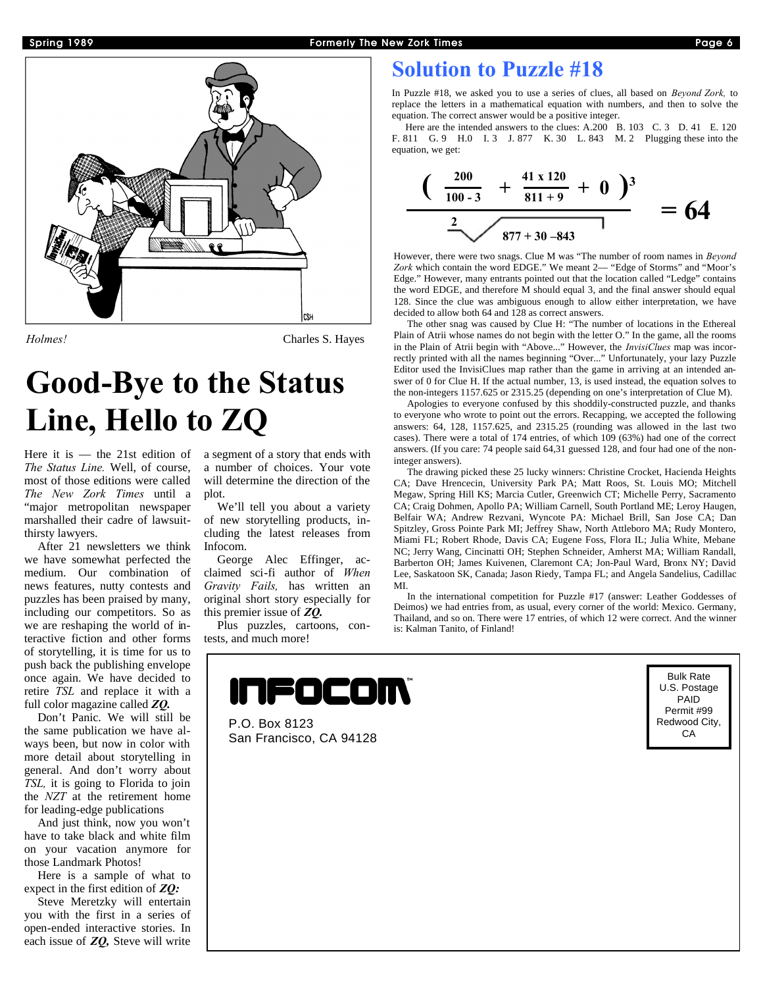



*Holmes!* Charles S. Hayes

## **Good-Bye to the Status Line, Hello to ZQ**

Here it is — the 21st edition of *The Status Line.* Well, of course, most of those editions were called *The New Zork Times* until a "major metropolitan newspaper marshalled their cadre of lawsuitthirsty lawyers.

After 21 newsletters we think we have somewhat perfected the medium. Our combination of news features, nutty contests and puzzles has been praised by many, including our competitors. So as we are reshaping the world of interactive fiction and other forms of storytelling, it is time for us to push back the publishing envelope once again. We have decided to retire *TSL* and replace it with a full color magazine called *ZQ.*

Don't Panic. We will still be the same publication we have always been, but now in color with more detail about storytelling in general. And don't worry about *TSL,* it is going to Florida to join the *NZT* at the retirement home for leading-edge publications

And just think, now you won't have to take black and white film on your vacation anymore for those Landmark Photos!

Here is a sample of what to expect in the first edition of *ZQ:*

Steve Meretzky will entertain you with the first in a series of open-ended interactive stories. In each issue of *ZQ,* Steve will write

a segment of a story that ends with a number of choices. Your vote will determine the direction of the plot.

We'll tell you about a variety of new storytelling products, including the latest releases from Infocom.

George Alec Effinger, acclaimed sci-fi author of *When Gravity Fails,* has written an original short story especially for this premier issue of *ZQ.*

Plus puzzles, cartoons, contests, and much more!

## **Solution to Puzzle #18**

In Puzzle #18, we asked you to use a series of clues, all based on *Beyond Zork,* to replace the letters in a mathematical equation with numbers, and then to solve the equation. The correct answer would be a positive integer.

Here are the intended answers to the clues: A.200 B. 103 C. 3 D. 41 E. 120 F. 811 G. 9 H.0 I. 3 J. 877 K. 30 L. 843 M. 2 Plugging these into the equation, we get:

$$
\frac{(\frac{200}{100-3} + \frac{41 \times 120}{811+9} + 0)^3}{\frac{2}{877+30-843}}
$$
 = 64

However, there were two snags. Clue M was "The number of room names in *Beyond Zork* which contain the word EDGE." We meant 2— "Edge of Storms" and "Moor's Edge." However, many entrants pointed out that the location called "Ledge" contains the word EDGE, and therefore M should equal 3, and the final answer should equal 128. Since the clue was ambiguous enough to allow either interpretation, we have decided to allow both 64 and 128 as correct answers.

The other snag was caused by Clue H: "The number of locations in the Ethereal Plain of Atrii whose names do not begin with the letter O." In the game, all the rooms in the Plain of Atrii begin with "Above..." However, the *InvisiClues* map was incorrectly printed with all the names beginning "Over..." Unfortunately, your lazy Puzzle Editor used the InvisiClues map rather than the game in arriving at an intended answer of 0 for Clue H. If the actual number, 13, is used instead, the equation solves to the non-integers 1157.625 or 2315.25 (depending on one's interpretation of Clue M).

Apologies to everyone confused by this shoddily-constructed puzzle, and thanks to everyone who wrote to point out the errors. Recapping, we accepted the following answers: 64, 128, 1157.625, and 2315.25 (rounding was allowed in the last two cases). There were a total of 174 entries, of which 109 (63%) had one of the correct answers. (If you care: 74 people said 64,31 guessed 128, and four had one of the noninteger answers).

The drawing picked these 25 lucky winners: Christine Crocket, Hacienda Heights CA; Dave Hrencecin, University Park PA; Matt Roos, St. Louis MO; Mitchell Megaw, Spring Hill KS; Marcia Cutler, Greenwich CT; Michelle Perry, Sacramento CA; Craig Dohmen, Apollo PA; William Carnell, South Portland ME; Leroy Haugen, Belfair WA; Andrew Rezvani, Wyncote PA: Michael Brill, San Jose CA; Dan Spitzley, Gross Pointe Park MI; Jeffrey Shaw, North Attleboro MA; Rudy Montero, Miami FL; Robert Rhode, Davis CA; Eugene Foss, Flora IL; Julia White, Mebane NC; Jerry Wang, Cincinatti OH; Stephen Schneider, Amherst MA; William Randall, Barberton OH; James Kuivenen, Claremont CA; Jon-Paul Ward, Bronx NY; David Lee, Saskatoon SK, Canada; Jason Riedy, Tampa FL; and Angela Sandelius, Cadillac MI.

In the international competition for Puzzle #17 (answer: Leather Goddesses of Deimos) we had entries from, as usual, every corner of the world: Mexico. Germany, Thailand, and so on. There were 17 entries, of which 12 were correct. And the winner is: Kalman Tanito, of Finland!



P.O. Box 8123 San Francisco, CA 94128

Bulk Rate U.S. Postage PAID Permit #99 Redwood City, **CA**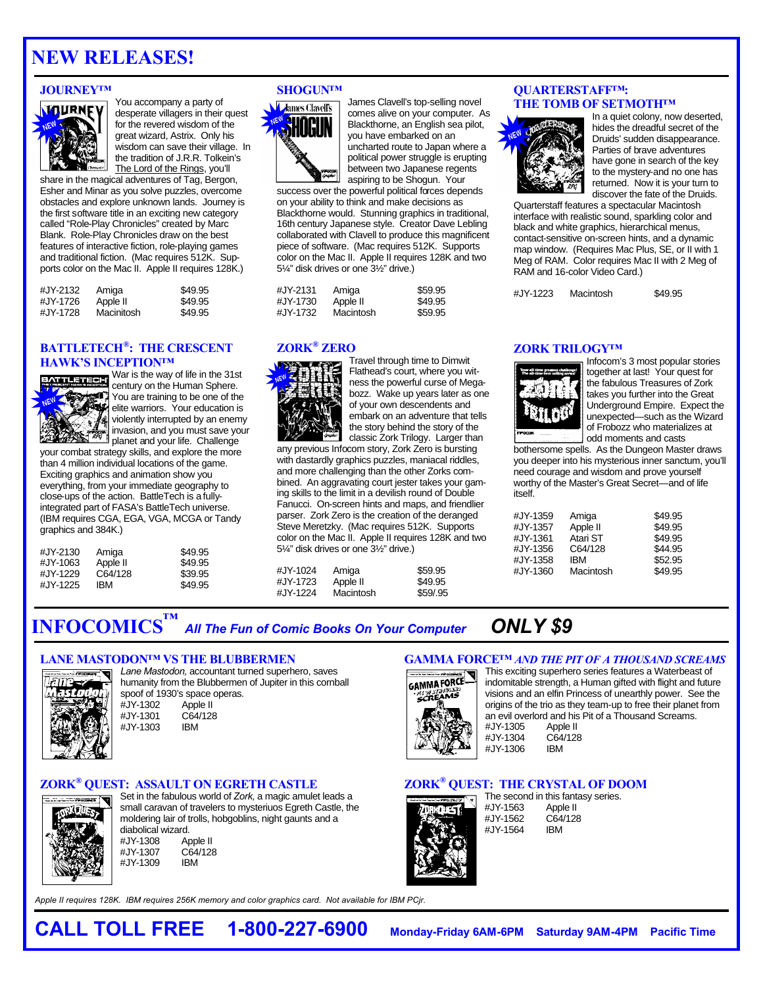## **NEW RELEASES!**

### **JOURNEY™**



You accompany a party of desperate villagers in their quest for the revered wisdom of the great wizard, Astrix. Only his wisdom can save their village. In the tradition of J.R.R. Tolkein's The Lord of the Rings, you'll

share in the magical adventures of Tag, Bergon, Esher and Minar as you solve puzzles, overcome obstacles and explore unknown lands. Journey is the first software title in an exciting new category called "Role-Play Chronicles" created by Marc Blank. Role-Play Chronicles draw on the best features of interactive fiction, role-playing games and traditional fiction. (Mac requires 512K. Supports color on the Mac II. Apple II requires 128K.)

| #JY-2132 | Amiga      | \$49.95 |
|----------|------------|---------|
| #JY-1726 | Apple II   | \$49.95 |
| #JY-1728 | Macinitosh | \$49.95 |

## **BATTLETECH® : THE CRESCENT HAWK'S INCEPTION™**



War is the way of life in the 31st century on the Human Sphere. You are training to be one of the elite warriors. Your education is violently interrupted by an enemy invasion, and you must save your planet and you was the challenge

your combat strategy skills, and explore the more than 4 million individual locations of the game. Exciting graphics and animation show you everything, from your immediate geography to close-ups of the action. BattleTech is a fullyintegrated part of FASA's BattleTech universe. (IBM requires CGA, EGA, VGA, MCGA or Tandy graphics and 384K.)

| Amiga    | \$49.95 |
|----------|---------|
| Apple II | \$49.95 |
| C64/128  | \$39.95 |
| IBM      | \$49.95 |
|          |         |

## **SHOGUN™**



James Clavell's top-selling novel comes alive on your computer. As Blackthorne, an English sea pilot, you have embarked on an uncharted route to Japan where a political power struggle is erupting between two Japanese regents aspiring to be Shogun. Your

success over the powerful political forces depends on your ability to think and make decisions as Blackthorne would. Stunning graphics in traditional, 16th century Japanese style. Creator Dave Lebling collaborated with Clavell to produce this magnificent piece of software. (Mac requires 512K. Supports color on the Mac II. Apple II requires 128K and two 5¼" disk drives or one 3½" drive.)

| #JY-2131 | Amiga     | \$59.95 |
|----------|-----------|---------|
| #JY-1730 | Apple II  | \$49.95 |
| #JY-1732 | Macintosh | \$59.95 |

## **ZORK® ZERO**



Travel through time to Dimwit Flathead's court, where you witness the powerful curse of Megabozz. Wake up years later as one of your own descendents and embark on an adventure that tells the story behind the story of the classic Zork Trilogy. Larger than

any previous Infocom story, Zork Zero is bursting with dastardly graphics puzzles, maniacal riddles, and more challenging than the other Zorks combined. An aggravating court jester takes your gaming skills to the limit in a devilish round of Double Fanucci. On-screen hints and maps, and friendlier parser. Zork Zero is the creation of the deranged Steve Meretzky. (Mac requires 512K. Supports color on the Mac II. Apple II requires 128K and two 5¼" disk drives or one 3½" drive.)

%#JY-1024 Amiga \$59.95<br>#JY-1723 Apple II \$49.95 #JY-1723 Apple II \$49.95<br>#JY-1224 Macintosh \$59/95 Macintosh

### **QUARTERSTAFF™: THE TOMB OF SETMOTH™**



In a quiet colony, now deserted, hides the dreadful secret of the Druids' sudden disappearance. Parties of brave adventures have gone in search of the key to the mystery-and no one has returned. Now it is your turn to discover the fate of the Druids.

Quarterstaff features a spectacular Macintosh interface with realistic sound, sparkling color and black and white graphics, hierarchical menus, contact-sensitive on-screen hints, and a dynamic map window. (Requires Mac Plus, SE, or II with 1 Meg of RAM. Color requires Mac II with 2 Meg of RAM and 16-color Video Card.)

#JY-1223 Macintosh \$49.95

## **ZORK TRILOGY™**



Infocom's 3 most popular stories together at last! Your quest for the fabulous Treasures of Zork takes you further into the Great Underground Empire. Expect the unexpected—such as the Wizard of Frobozz who materializes at odd moments and casts

bothersome spells. As the Dungeon Master draws you deeper into his mysterious inner sanctum, you'll need courage and wisdom and prove yourself worthy of the Master's Great Secret—and of life itself.

| Amiga      | \$49.95 |
|------------|---------|
| Apple II   | \$49.95 |
| Atari ST   | \$49.95 |
| C64/128    | \$44.95 |
| <b>IBM</b> | \$52.95 |
| Macintosh  | \$49.95 |
|            |         |

**GAMMA FORCE™** *AND THE PIT OF A THOUSAND SCREAMS*

549.95 552.95

**INFOCOMICS ™** *All The Fun of Comic Books On Your Computer ONLY \$9*

## **LANE MASTODON™ VS THE BLUBBERMEN**



*Lane Mastodon,* accountant turned superhero, saves humanity from the Blubbermen of Jupiter in this cornball spoof of 1930's space operas.<br>#JY-1302 Apple II  $\mu$ JY-1302 #JY-1301 C64/128 #JY-1303

## **ZORK® QUEST: ASSAULT ON EGRETH CASTLE**



Set in the fabulous world of *Zork,* a magic amulet leads a small caravan of travelers to mysteriuos Egreth Castle, the moldering lair of trolls, hobgoblins, night gaunts and a diabolical wizard.<br>#JY-1308 Ar Apple II<br>C64/128 #JY-1307 C64<br>#JY-1309 IBM #JY-1309

*Apple II requires 128K. IBM requires 256K memory and color graphics card. Not available for IBM PCjr.*



This exciting superhero series features a Waterbeast of indomitable strength, a Human gifted with flight and future visions and an elfin Princess of unearthly power. See the origins of the trio as they team-up to free their planet from an evil overlord and his Pit of a Thousand Screams.<br>#JY-1305 Apple II #JY-1305 Apple II<br>#JY-1304 C64/128 #JY-1304 C64<br>#JY-1306 IBM #JY-1306

## **ZORK® QUEST: THE CRYSTAL OF DOOM**



The second in this fantasy series.<br>#JY-1563 Apple II Apple II #JY-1562 C64/128 #JY-1564